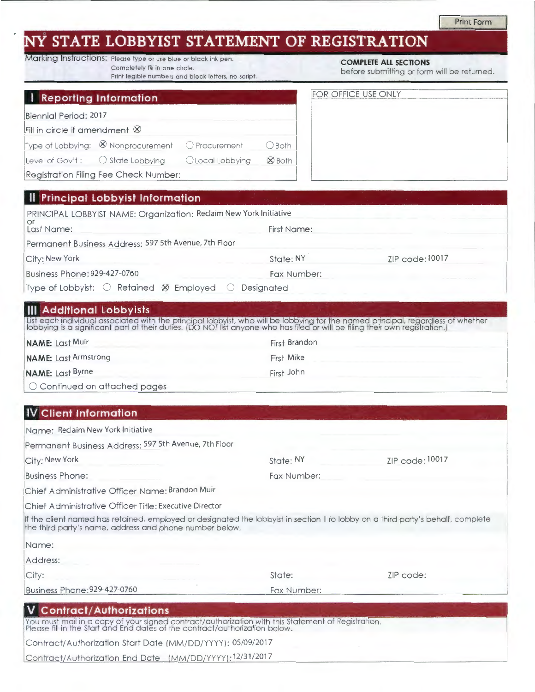# ' **STATE LOBBYIST STATEMENT OF REGISTRATION**

|                                | Marking Instructions: Please type or use blue or black ink pen. | <b>COMPLETE ALL SECTIONS</b> |
|--------------------------------|-----------------------------------------------------------------|------------------------------|
| Completely fill in one circle. |                                                                 | before submitting or form    |
|                                | Print legible numbers and block letters, no script.             |                              |

|  | <b>COMPLETE ALL SECTIONS</b> |
|--|------------------------------|
|  |                              |

pt. **Example 10** before submitting or form will be returned.

| Reporting Information                                          |                                                                |                  |                   | <b>FOR OFFICE USE ONLY</b> |
|----------------------------------------------------------------|----------------------------------------------------------------|------------------|-------------------|----------------------------|
| Biennial Period: 2017<br>Fill in circle if amendment $\otimes$ |                                                                |                  |                   |                            |
|                                                                | Type of Lobbying: $\otimes$ Nonprocurement $\circ$ Procurement |                  | O Both            |                            |
| Level of Gov't: $\bigcirc$ State Lobbying                      |                                                                | O Local Lobbying | <b>&amp;</b> Both |                            |
|                                                                | Registration Filing Fee Check Number:                          |                  |                   |                            |

| <b>HEFTINGIPAL LODDYIST INIOHNATION</b>                                                  |             |                 |
|------------------------------------------------------------------------------------------|-------------|-----------------|
| PRINCIPAL LOBBYIST NAME: Organization: Reclaim New York Initiative<br>∣ Or<br>Last Name: | First Name: |                 |
| Permanent Business Address: 597 5th Avenue, 7th Floor                                    |             |                 |
| City: New York                                                                           | State: NY   | ZIP code: 10017 |
| Business Phone: 929-427-0760                                                             | Fax Number: |                 |
| Type of Lobbyist: $\bigcirc$ Retained $\otimes$ Employed                                 | Desianated  |                 |
|                                                                                          |             |                 |

#### **Ill Additional lobbyists**

List each individual associated with the principal lobbyist, who will be lobbying for the named principal, regardless of whether<br>lobbying is a significant part of their duties. (DO NOT list anyone who has filed or will be

| <b>NAME:</b> Last Muir             | First Brandon |  |
|------------------------------------|---------------|--|
| <b>NAME:</b> Last Armstrong        | First Mike    |  |
| <b>NAME:</b> Last Byrne            | First John    |  |
| $\Box$ Continued on attached pages |               |  |

## **IV Client Information**

| Name: Reclaim New York Initiative                                                                                                                                                           |             |                 |
|---------------------------------------------------------------------------------------------------------------------------------------------------------------------------------------------|-------------|-----------------|
| Permanent Business Address: 597 5th Avenue, 7th Floor                                                                                                                                       |             |                 |
| City: New York                                                                                                                                                                              | State: NY   | ZIP code: 10017 |
| <b>Business Phone:</b>                                                                                                                                                                      | Fax Number: |                 |
| Chief Administrative Officer Name: Brandon Muir                                                                                                                                             |             |                 |
| Chief Administrative Officer Title: Executive Director                                                                                                                                      |             |                 |
| If the client named has retained, employed or designated the lobbyist in section II to lobby on a third party's behalf, complete<br>the third party's name, address and phone number below. |             |                 |
| Name:                                                                                                                                                                                       |             |                 |
| Address:                                                                                                                                                                                    |             |                 |
| City:                                                                                                                                                                                       | State:      | ZIP code:       |
| Business Phone: 929-427-0760                                                                                                                                                                | Fax Number: |                 |
| <b>Contract/Authorizations</b>                                                                                                                                                              |             |                 |
| You must mail in a copy of your signed contract/authorization with this Statement of Registration.<br>Please fill in the Start and End dates of the contract/authorization below.           |             |                 |
| Contract/Authorization Start Date (MM/DD/YYYY): 05/09/2017                                                                                                                                  |             |                 |

Contract/Authorization End Date (MM/DD/YYYY):12/31/2017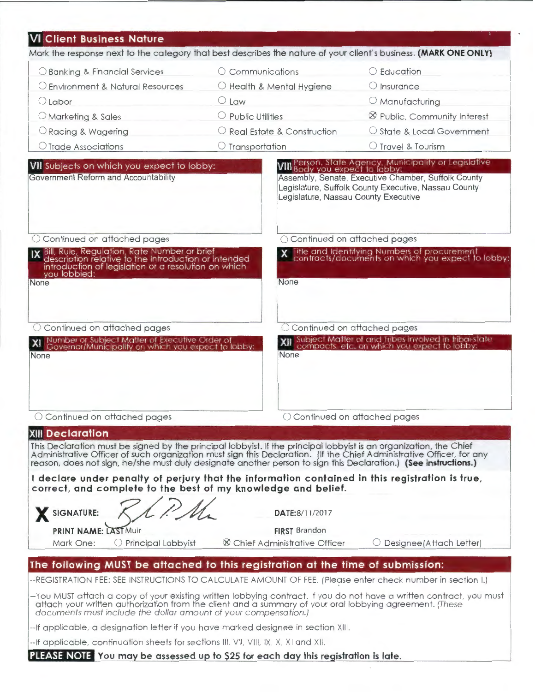| <b>VI Client Business Nature</b>                                                                                                                                                                                                  |                                                                |                                                                                                                                                                                                                |
|-----------------------------------------------------------------------------------------------------------------------------------------------------------------------------------------------------------------------------------|----------------------------------------------------------------|----------------------------------------------------------------------------------------------------------------------------------------------------------------------------------------------------------------|
| Mark the response next to the category that best describes the nature of your client's business. (MARK ONE ONLY)                                                                                                                  |                                                                |                                                                                                                                                                                                                |
| ○ Banking & Financial Services                                                                                                                                                                                                    | $\circ$ Communications                                         | O Education                                                                                                                                                                                                    |
| O Environment & Natural Resources                                                                                                                                                                                                 | C Health & Mental Hygiene                                      | $\bigcirc$ Insurance                                                                                                                                                                                           |
| $\bigcirc$ Labor                                                                                                                                                                                                                  | $O$ Law                                                        | O Manufacturing                                                                                                                                                                                                |
| O Marketing & Sales                                                                                                                                                                                                               | $\bigcirc$ Public Utilities                                    | <sup>8</sup> Public, Community Interest                                                                                                                                                                        |
| O Racing & Wagering                                                                                                                                                                                                               | O Real Estate & Construction                                   | ○ State & Local Government                                                                                                                                                                                     |
| ○ Trade Associations                                                                                                                                                                                                              | $\circlearrowright$ Transportation                             | ○ Travel & Tourism                                                                                                                                                                                             |
| VII Subjects on which you expect to lobby:<br>Government Reform and Accountability                                                                                                                                                | Legislature, Nassau County Executive                           | <b>VIII</b> Person, State Agency, Municipality or Legislative<br>VIII Body you expect to lobby:<br>Assembly, Senate, Executive Chamber, Suffolk County<br>Legislature, Suffolk County Executive, Nassau County |
| O Continued on attached pages                                                                                                                                                                                                     | ○ Continued on attached pages                                  |                                                                                                                                                                                                                |
| Bill, Rule, Regulation, Rate Number or brief<br>description relative to the introduction or intended<br>introduction of legislation or a resolution on which<br>you lobbied:<br>None                                              | None                                                           | Title and Identifying Numbers of procurement<br>contracts/documents on which you expect to lobby:                                                                                                              |
| C Continued on attached pages                                                                                                                                                                                                     |                                                                | C Continued on attached pages                                                                                                                                                                                  |
| Number or Subject Matter of Executive Order of<br>Governor/Municipality on which you expect to lobby:<br>None                                                                                                                     | None                                                           | XII Subject Matter of and Tribes involved in tribal-state<br>XII compacts, etc. on which you expect to lobby:                                                                                                  |
| O Continued on attached pages                                                                                                                                                                                                     |                                                                | ○ Continued on attached pages                                                                                                                                                                                  |
| <b>XIII Declaration</b>                                                                                                                                                                                                           |                                                                |                                                                                                                                                                                                                |
| This Declaration must be signed by the principal lobbyist. If the principal lobbyist is an organization, the Chief<br>Administrative Officer of such organization must sign this Declaration. (If the Chief Administrative Office |                                                                |                                                                                                                                                                                                                |
| I declare under penalty of perjury that the information contained in this registration is true,<br>correct, and complete to the best of my knowledge and belief.                                                                  |                                                                |                                                                                                                                                                                                                |
| SIGNATURE:                                                                                                                                                                                                                        | DATE:8/11/2017                                                 |                                                                                                                                                                                                                |
| <b>PRINT NAME: LAST Muir</b><br>O Principal Lobbyist<br>Mark One:                                                                                                                                                                 | <b>FIRST</b> Brandon<br><b>XX</b> Chief Administrative Officer | Designee (Attach Letter)                                                                                                                                                                                       |
|                                                                                                                                                                                                                                   |                                                                |                                                                                                                                                                                                                |
| The following MUST be attached to this registration at the time of submission:                                                                                                                                                    |                                                                |                                                                                                                                                                                                                |

--You MUST attach a copy of your existing w ritten lobbying contract. If you do not have a written contract. you must attach your written authorization from the client and a summary of your oral lobbying agreement. (These documents must include the dollar amount of your compensation.)

--If applicable, a designation letter if you have marked designee in section XIII.

-- If applicable, continuation sheets for sections III, VII, VIII, IX, X, XI and XII.

**PLEASE NOTE** You may be assessed up to \$25 for each day this registration is late.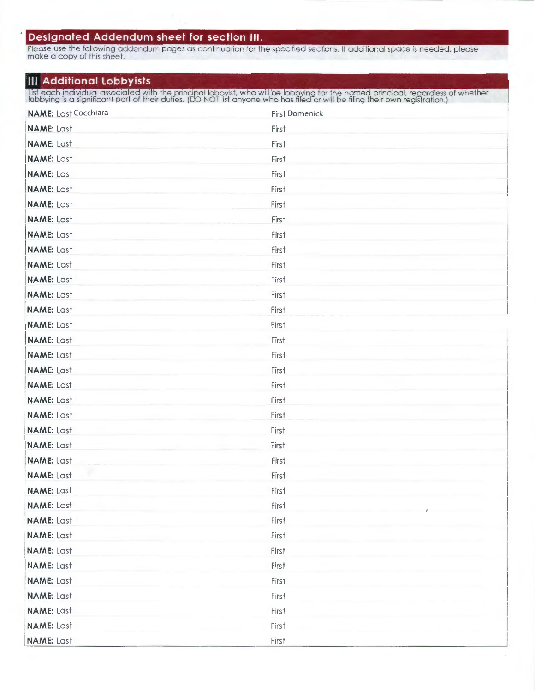## **Designated Addendum sheet for section Ill.**

Please use the following addendum pages as continuation for the specified sections. If additional space is needed, please make a copy of this sheet.

#### **Ill Additional Lobbyists**

List each individual associated with the principal lobbyist, who will be lobbying for the named principal, regardless of whether<br>lobbying is a significant part of their duties. (DO NOT list anyone who has filed or will be

| <b>NAME:</b> Last Cocchiara | <b>First Domenick</b> |
|-----------------------------|-----------------------|
| <b>NAME: Last</b>           | First                 |
| <b>NAME: Last</b>           | First                 |
| <b>NAME: Last</b>           | First                 |
| <b>NAME: Last</b>           | First                 |
| <b>NAME: Last</b>           | First                 |
| <b>NAME: Last</b>           | First                 |
| <b>NAME: Last</b>           | First                 |
| <b>NAME: Last</b>           | First                 |
| <b>NAME: Last</b>           | First                 |
| <b>NAME: Last</b>           | First                 |
| <b>NAME: Last</b>           | First                 |
| <b>NAME: Last</b>           | First                 |
| <b>NAME: Last</b>           | First                 |
| <b>NAME: Last</b>           | First                 |
| <b>NAME: Last</b>           | First                 |
| <b>NAME: Last</b>           | First                 |
| <b>NAME: Last</b>           | First                 |
| <b>NAME: Last</b>           | First                 |
| <b>NAME: Last</b>           | First                 |
| <b>NAME: Last</b>           | First                 |
| <b>NAME: Last</b>           | First                 |
| <b>NAME: Last</b>           | First                 |
| <b>NAME:</b> Last           | First                 |
| <b>NAME: Last</b>           | First                 |
| <b>NAME: Last</b>           | First                 |
| <b>NAME: Last</b>           | First                 |
| <b>NAME: Last</b>           | First                 |
| <b>NAME: Last</b>           | First                 |
| <b>NAME: Last</b>           | First                 |
| <b>NAME: Last</b>           | First                 |
| NAME: Last                  | First                 |
| <b>NAME: Last</b>           | First                 |
| <b>NAME: Last</b>           | First                 |
| <b>NAME:</b> Last           | First                 |
| <b>NAME:</b> Last           | First                 |